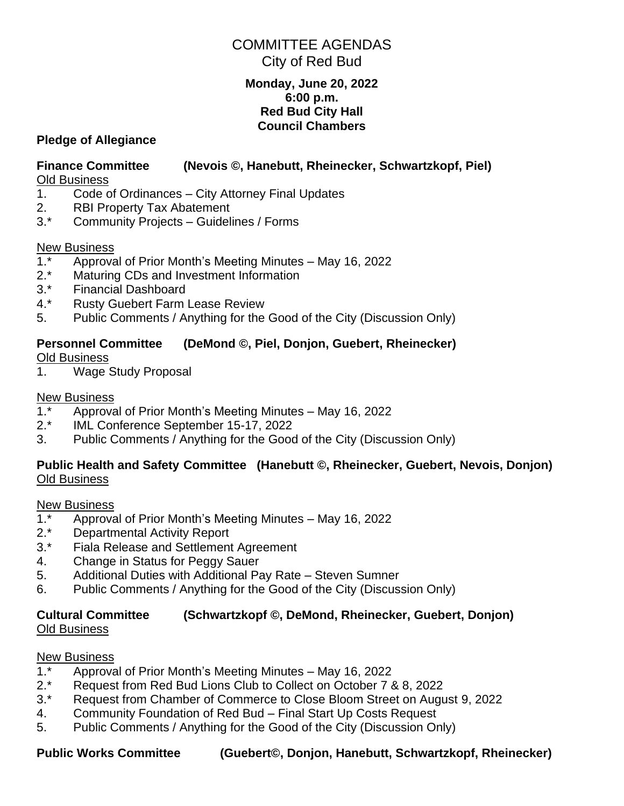# COMMITTEE AGENDAS City of Red Bud

#### **Monday, June 20, 2022 6:00 p.m. Red Bud City Hall Council Chambers**

### **Pledge of Allegiance**

## **Finance Committee (Nevois ©, Hanebutt, Rheinecker, Schwartzkopf, Piel)**

Old Business

- 1. Code of Ordinances City Attorney Final Updates
- 2. RBI Property Tax Abatement
- 3.\* Community Projects Guidelines / Forms

### New Business

- 1.\* Approval of Prior Month's Meeting Minutes May 16, 2022
- 2.\* Maturing CDs and Investment Information
- 3.\* Financial Dashboard<br>4.\* Rusty Guebert Farm
- **Rusty Guebert Farm Lease Review**
- 5. Public Comments / Anything for the Good of the City (Discussion Only)

### **Personnel Committee (DeMond ©, Piel, Donjon, Guebert, Rheinecker)**

Old Business

1. Wage Study Proposal

### New Business

- 1.\* Approval of Prior Month's Meeting Minutes May 16, 2022
- 2.\* IML Conference September 15-17, 2022
- 3. Public Comments / Anything for the Good of the City (Discussion Only)

### **Public Health and Safety Committee (Hanebutt ©, Rheinecker, Guebert, Nevois, Donjon)** Old Business

#### New Business

- 1.\* Approval of Prior Month's Meeting Minutes May 16, 2022
- 2.\* Departmental Activity Report
- 3.\* Fiala Release and Settlement Agreement
- 4. Change in Status for Peggy Sauer
- 5. Additional Duties with Additional Pay Rate Steven Sumner
- 6. Public Comments / Anything for the Good of the City (Discussion Only)

#### **Cultural Committee (Schwartzkopf ©, DeMond, Rheinecker, Guebert, Donjon)** Old Business

### New Business

- 1.\* Approval of Prior Month's Meeting Minutes May 16, 2022
- 2.\* Request from Red Bud Lions Club to Collect on October 7 & 8, 2022
- 3.\* Request from Chamber of Commerce to Close Bloom Street on August 9, 2022
- 4. Community Foundation of Red Bud Final Start Up Costs Request
- 5. Public Comments / Anything for the Good of the City (Discussion Only)

**Public Works Committee (Guebert©, Donjon, Hanebutt, Schwartzkopf, Rheinecker)**